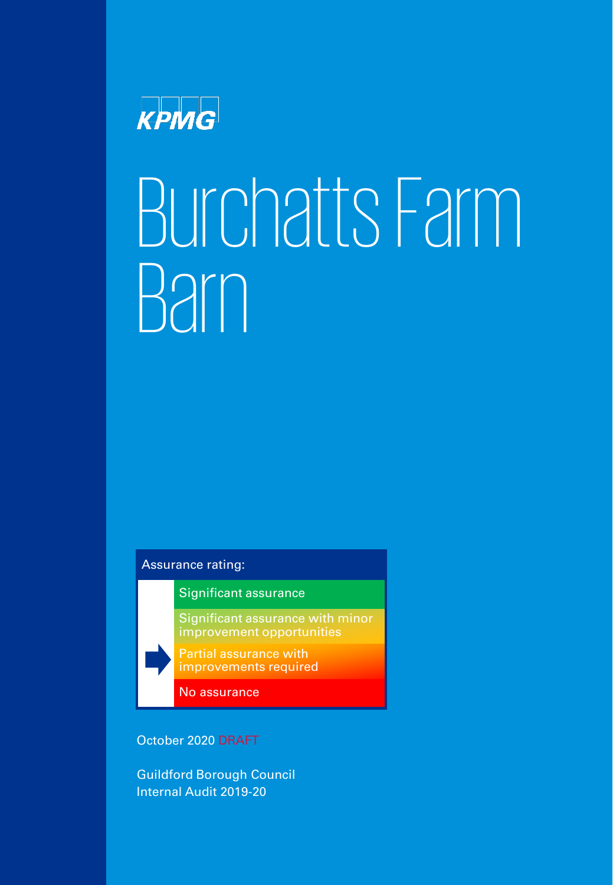

# Burchatts Farm Barn

## Assurance rating:

Significant assurance

Significant assurance with minor improvement opportunities

1 © 2020 KPMG LLP, a UK limited liability partnership and a member firm of the KPMG network of independent member firms affiliated with

Partial assurance with improvements required

No assurance

October 2020 DRAFT

Guildford Borough Council Internal Audit 2019-20

KPMG International Cooperative ("KPMG International"), a Swiss entity. All rights reserved.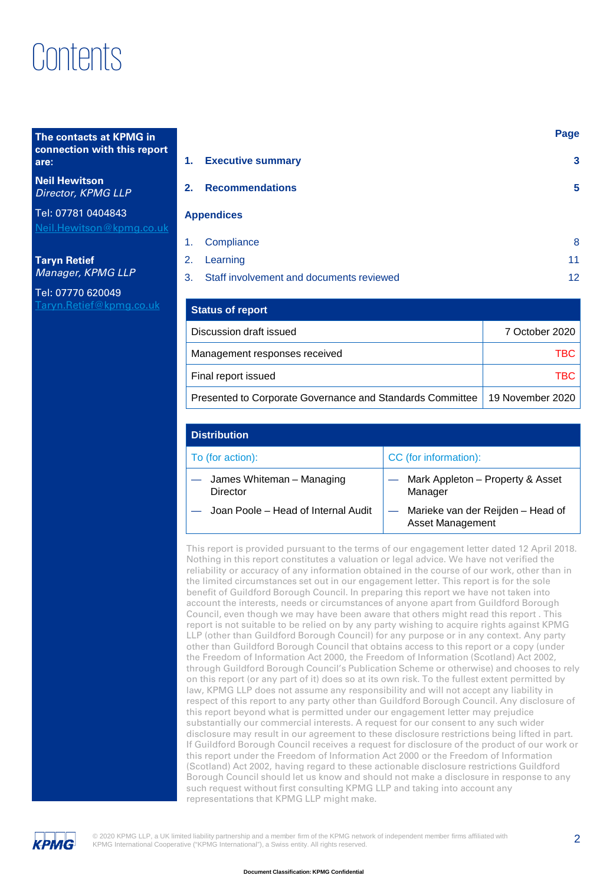# Contents

#### **The contacts at KPMG in connection with this report are:**

**Neil Hewitson** *Director, KPMG LLP*

Tel: 07781 0404843 [Neil.Hewitson@kpmg.co.uk](mailto:Neil.Hewitson@kpmg.co.uk)

**Taryn Retief** *Manager, KPMG LLP*

Tel: 07770 620049 [Taryn.Retief@kpmg.co.uk](mailto:Taryn.Retief@kpmg.co.uk) 

| 1. | <b>Executive summary</b>                    | 3  |
|----|---------------------------------------------|----|
| 2. | <b>Recommendations</b>                      | 5  |
|    | <b>Appendices</b>                           |    |
| 1. | Compliance                                  | 8  |
| 2. | Learning                                    | 11 |
|    | 3. Staff involvement and documents reviewed | 12 |

| <b>Status of report</b>                                   |                  |
|-----------------------------------------------------------|------------------|
| Discussion draft issued                                   | 7 October 2020   |
| Management responses received                             | TBC I            |
| Final report issued                                       | TBC I            |
| Presented to Corporate Governance and Standards Committee | 19 November 2020 |

| <b>Distribution</b>                   |                                                       |  |  |
|---------------------------------------|-------------------------------------------------------|--|--|
| To (for action):                      | CC (for information):                                 |  |  |
| James Whiteman - Managing<br>Director | Mark Appleton - Property & Asset<br>Manager           |  |  |
| Joan Poole - Head of Internal Audit   | Marieke van der Reijden - Head of<br>Asset Management |  |  |

This report is provided pursuant to the terms of our engagement letter dated 12 April 2018. Nothing in this report constitutes a valuation or legal advice. We have not verified the reliability or accuracy of any information obtained in the course of our work, other than in the limited circumstances set out in our engagement letter. This report is for the sole benefit of Guildford Borough Council. In preparing this report we have not taken into account the interests, needs or circumstances of anyone apart from Guildford Borough Council, even though we may have been aware that others might read this report . This report is not suitable to be relied on by any party wishing to acquire rights against KPMG LLP (other than Guildford Borough Council) for any purpose or in any context. Any party other than Guildford Borough Council that obtains access to this report or a copy (under the Freedom of Information Act 2000, the Freedom of Information (Scotland) Act 2002, through Guildford Borough Council's Publication Scheme or otherwise) and chooses to rely on this report (or any part of it) does so at its own risk. To the fullest extent permitted by law, KPMG LLP does not assume any responsibility and will not accept any liability in respect of this report to any party other than Guildford Borough Council. Any disclosure of this report beyond what is permitted under our engagement letter may prejudice substantially our commercial interests. A request for our consent to any such wider disclosure may result in our agreement to these disclosure restrictions being lifted in part. If Guildford Borough Council receives a request for disclosure of the product of our work or this report under the Freedom of Information Act 2000 or the Freedom of Information (Scotland) Act 2002, having regard to these actionable disclosure restrictions Guildford Borough Council should let us know and should not make a disclosure in response to any such request without first consulting KPMG LLP and taking into account any representations that KPMG LLP might make.



2 © 2020 KPMG LLP, a UK limited liability partnership and a member firm of the KPMG network of independent member firms affiliated with KPMG International Cooperative ("KPMG International"), a Swiss entity. All rights reserved.

**Page**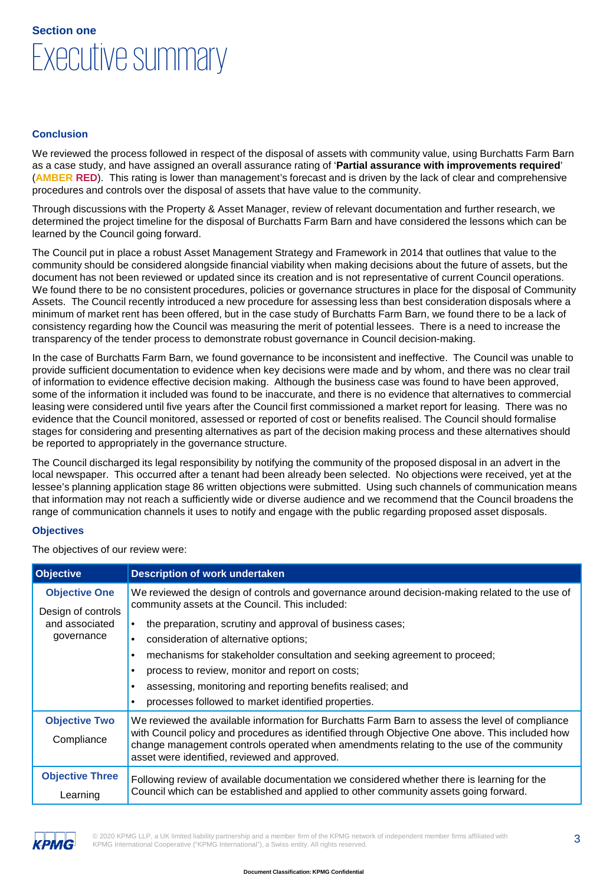## Executive summary **Section one**

#### **Conclusion**

We reviewed the process followed in respect of the disposal of assets with community value, using Burchatts Farm Barn as a case study, and have assigned an overall assurance rating of '**Partial assurance with improvements required**' (**AMBER RED**). This rating is lower than management's forecast and is driven by the lack of clear and comprehensive procedures and controls over the disposal of assets that have value to the community.

Through discussions with the Property & Asset Manager, review of relevant documentation and further research, we determined the project timeline for the disposal of Burchatts Farm Barn and have considered the lessons which can be learned by the Council going forward.

The Council put in place a robust Asset Management Strategy and Framework in 2014 that outlines that value to the community should be considered alongside financial viability when making decisions about the future of assets, but the document has not been reviewed or updated since its creation and is not representative of current Council operations. We found there to be no consistent procedures, policies or governance structures in place for the disposal of Community Assets. The Council recently introduced a new procedure for assessing less than best consideration disposals where a minimum of market rent has been offered, but in the case study of Burchatts Farm Barn, we found there to be a lack of consistency regarding how the Council was measuring the merit of potential lessees. There is a need to increase the transparency of the tender process to demonstrate robust governance in Council decision-making.

In the case of Burchatts Farm Barn, we found governance to be inconsistent and ineffective. The Council was unable to provide sufficient documentation to evidence when key decisions were made and by whom, and there was no clear trail of information to evidence effective decision making. Although the business case was found to have been approved, some of the information it included was found to be inaccurate, and there is no evidence that alternatives to commercial leasing were considered until five years after the Council first commissioned a market report for leasing. There was no evidence that the Council monitored, assessed or reported of cost or benefits realised. The Council should formalise stages for considering and presenting alternatives as part of the decision making process and these alternatives should be reported to appropriately in the governance structure.

The Council discharged its legal responsibility by notifying the community of the proposed disposal in an advert in the local newspaper. This occurred after a tenant had been already been selected. No objections were received, yet at the lessee's planning application stage 86 written objections were submitted. Using such channels of communication means that information may not reach a sufficiently wide or diverse audience and we recommend that the Council broadens the range of communication channels it uses to notify and engage with the public regarding proposed asset disposals.

#### **Objectives**

The objectives of our review were:

| <b>Objective</b>                                   | <b>Description of work undertaken</b>                                                                                                                                                                                                                                                                                                                                |  |
|----------------------------------------------------|----------------------------------------------------------------------------------------------------------------------------------------------------------------------------------------------------------------------------------------------------------------------------------------------------------------------------------------------------------------------|--|
| <b>Objective One</b>                               | We reviewed the design of controls and governance around decision-making related to the use of<br>community assets at the Council. This included:                                                                                                                                                                                                                    |  |
| Design of controls<br>and associated<br>governance | the preparation, scrutiny and approval of business cases;<br>consideration of alternative options;<br>$\bullet$<br>mechanisms for stakeholder consultation and seeking agreement to proceed;<br>process to review, monitor and report on costs;<br>assessing, monitoring and reporting benefits realised; and<br>processes followed to market identified properties. |  |
| <b>Objective Two</b><br>Compliance                 | We reviewed the available information for Burchatts Farm Barn to assess the level of compliance<br>with Council policy and procedures as identified through Objective One above. This included how<br>change management controls operated when amendments relating to the use of the community<br>asset were identified, reviewed and approved.                      |  |
| <b>Objective Three</b><br>Learning                 | Following review of available documentation we considered whether there is learning for the<br>Council which can be established and applied to other community assets going forward.                                                                                                                                                                                 |  |



© 2020 KPMG LLP, a UK limited liability partnership and a member firm of the KPMG network of independent member firms affiliated with  $\,3\,$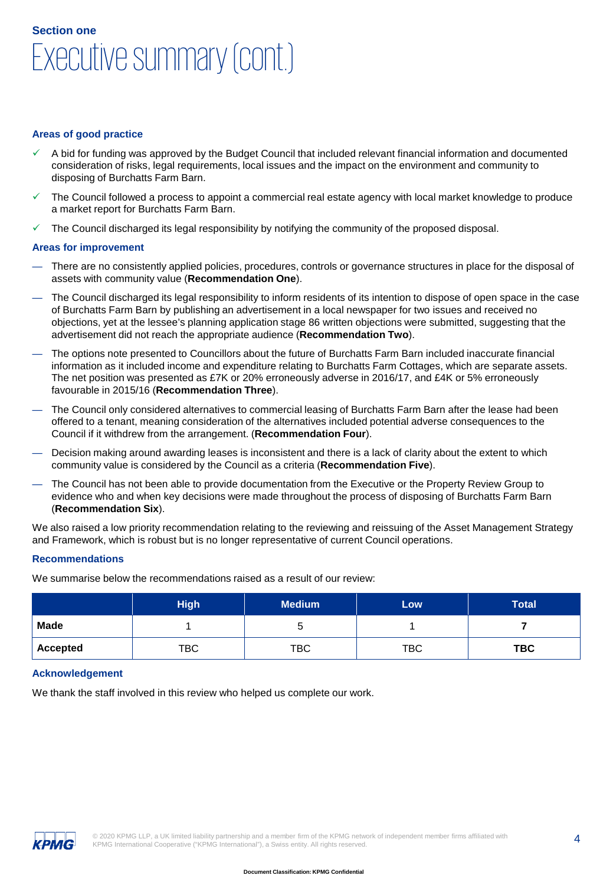## Executive summary (cont.) **Section one**

#### **Areas of good practice**

- A bid for funding was approved by the Budget Council that included relevant financial information and documented consideration of risks, legal requirements, local issues and the impact on the environment and community to disposing of Burchatts Farm Barn.
- The Council followed a process to appoint a commercial real estate agency with local market knowledge to produce a market report for Burchatts Farm Barn.
- The Council discharged its legal responsibility by notifying the community of the proposed disposal.

#### **Areas for improvement**

- There are no consistently applied policies, procedures, controls or governance structures in place for the disposal of assets with community value (**Recommendation One**).
- The Council discharged its legal responsibility to inform residents of its intention to dispose of open space in the case of Burchatts Farm Barn by publishing an advertisement in a local newspaper for two issues and received no objections, yet at the lessee's planning application stage 86 written objections were submitted, suggesting that the advertisement did not reach the appropriate audience (**Recommendation Two**).
- The options note presented to Councillors about the future of Burchatts Farm Barn included inaccurate financial information as it included income and expenditure relating to Burchatts Farm Cottages, which are separate assets. The net position was presented as £7K or 20% erroneously adverse in 2016/17, and £4K or 5% erroneously favourable in 2015/16 (**Recommendation Three**).
- The Council only considered alternatives to commercial leasing of Burchatts Farm Barn after the lease had been offered to a tenant, meaning consideration of the alternatives included potential adverse consequences to the Council if it withdrew from the arrangement. (**Recommendation Four**).
- Decision making around awarding leases is inconsistent and there is a lack of clarity about the extent to which community value is considered by the Council as a criteria (**Recommendation Five**).
- The Council has not been able to provide documentation from the Executive or the Property Review Group to evidence who and when key decisions were made throughout the process of disposing of Burchatts Farm Barn (**Recommendation Six**).

We also raised a low priority recommendation relating to the reviewing and reissuing of the Asset Management Strategy and Framework, which is robust but is no longer representative of current Council operations.

#### **Recommendations**

We summarise below the recommendations raised as a result of our review:

|                 | <b>High</b> | <b>Medium</b> | Low        | <b>Total</b> |
|-----------------|-------------|---------------|------------|--------------|
| <b>Made</b>     |             | u             |            |              |
| <b>Accepted</b> | TBC         | <b>TBC</b>    | <b>TBC</b> | <b>TBC</b>   |

#### **Acknowledgement**

We thank the staff involved in this review who helped us complete our work.

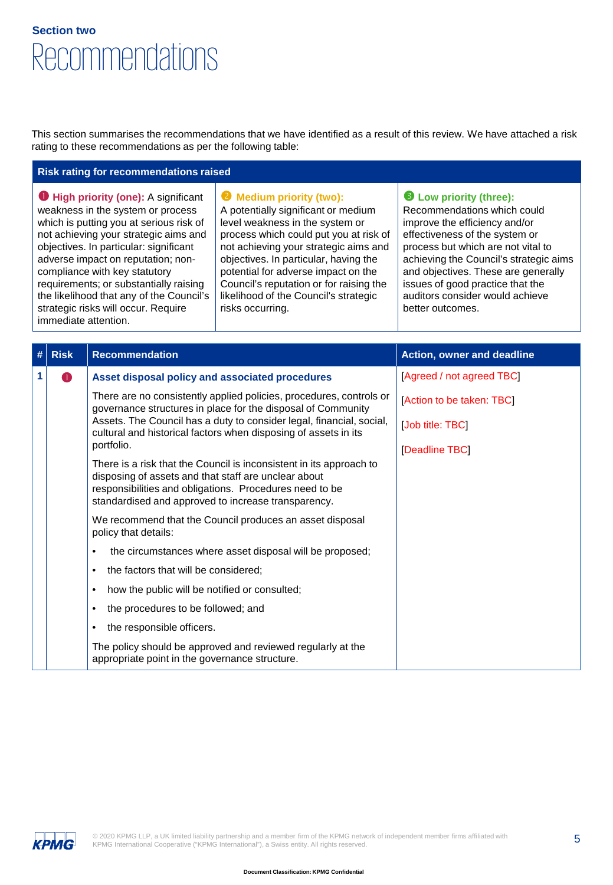## Recommendations **Section two**

This section summarises the recommendations that we have identified as a result of this review. We have attached a risk rating to these recommendations as per the following table:

#### **Risk rating for recommendations raised**

**O** High priority (one): A significant weakness in the system or process which is putting you at serious risk of not achieving your strategic aims and objectives. In particular: significant adverse impact on reputation; noncompliance with key statutory requirements; or substantially raising the likelihood that any of the Council's strategic risks will occur. Require immediate attention.

#### **Wedium priority (two):**

A potentially significant or medium level weakness in the system or process which could put you at risk of not achieving your strategic aims and objectives. In particular, having the potential for adverse impact on the Council's reputation or for raising the likelihood of the Council's strategic risks occurring.

#### **Low priority (three):**

Recommendations which could improve the efficiency and/or effectiveness of the system or process but which are not vital to achieving the Council's strategic aims and objectives. These are generally issues of good practice that the auditors consider would achieve better outcomes.

| # | <b>Risk</b> | <b>Recommendation</b>                                                                                                                                                                                                                         | Action, owner and deadline |
|---|-------------|-----------------------------------------------------------------------------------------------------------------------------------------------------------------------------------------------------------------------------------------------|----------------------------|
| 1 | O           | Asset disposal policy and associated procedures                                                                                                                                                                                               | [Agreed / not agreed TBC]  |
|   |             | There are no consistently applied policies, procedures, controls or<br>governance structures in place for the disposal of Community                                                                                                           | [Action to be taken: TBC]  |
|   |             | Assets. The Council has a duty to consider legal, financial, social,<br>cultural and historical factors when disposing of assets in its                                                                                                       | [Job title: TBC]           |
|   |             | portfolio.                                                                                                                                                                                                                                    | [Deadline TBC]             |
|   |             | There is a risk that the Council is inconsistent in its approach to<br>disposing of assets and that staff are unclear about<br>responsibilities and obligations. Procedures need to be<br>standardised and approved to increase transparency. |                            |
|   |             | We recommend that the Council produces an asset disposal<br>policy that details:                                                                                                                                                              |                            |
|   |             | the circumstances where asset disposal will be proposed;<br>$\bullet$                                                                                                                                                                         |                            |
|   |             | the factors that will be considered;<br>$\bullet$                                                                                                                                                                                             |                            |
|   |             | how the public will be notified or consulted;<br>$\bullet$                                                                                                                                                                                    |                            |
|   |             | the procedures to be followed; and<br>٠                                                                                                                                                                                                       |                            |
|   |             | the responsible officers.<br>$\bullet$                                                                                                                                                                                                        |                            |
|   |             | The policy should be approved and reviewed regularly at the<br>appropriate point in the governance structure.                                                                                                                                 |                            |

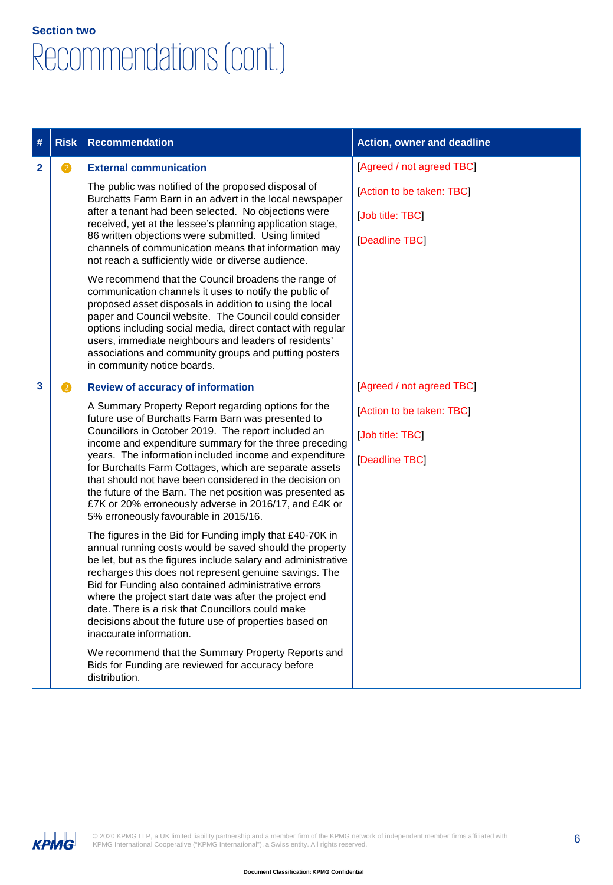## Recommendations (cont.) **Section two**

| #            | <b>Risk</b> | <b>Recommendation</b>                                                                                                                                                                                                                                                                                                                                                                                                                                                                                                                                                                                                                                                                                                                                                                                                                                                                                                                                                                                                                                                                                                                                                                                                                                        | <b>Action, owner and deadline</b>                                                            |
|--------------|-------------|--------------------------------------------------------------------------------------------------------------------------------------------------------------------------------------------------------------------------------------------------------------------------------------------------------------------------------------------------------------------------------------------------------------------------------------------------------------------------------------------------------------------------------------------------------------------------------------------------------------------------------------------------------------------------------------------------------------------------------------------------------------------------------------------------------------------------------------------------------------------------------------------------------------------------------------------------------------------------------------------------------------------------------------------------------------------------------------------------------------------------------------------------------------------------------------------------------------------------------------------------------------|----------------------------------------------------------------------------------------------|
| $\mathbf{2}$ | 2           | <b>External communication</b><br>The public was notified of the proposed disposal of<br>Burchatts Farm Barn in an advert in the local newspaper<br>after a tenant had been selected. No objections were<br>received, yet at the lessee's planning application stage,<br>86 written objections were submitted. Using limited<br>channels of communication means that information may<br>not reach a sufficiently wide or diverse audience.<br>We recommend that the Council broadens the range of<br>communication channels it uses to notify the public of<br>proposed asset disposals in addition to using the local<br>paper and Council website. The Council could consider<br>options including social media, direct contact with regular<br>users, immediate neighbours and leaders of residents'<br>associations and community groups and putting posters<br>in community notice boards.                                                                                                                                                                                                                                                                                                                                                               | [Agreed / not agreed TBC]<br>[Action to be taken: TBC]<br>[Job title: TBC]<br>[Deadline TBC] |
| 3            | 2           | <b>Review of accuracy of information</b><br>A Summary Property Report regarding options for the<br>future use of Burchatts Farm Barn was presented to<br>Councillors in October 2019. The report included an<br>income and expenditure summary for the three preceding<br>years. The information included income and expenditure<br>for Burchatts Farm Cottages, which are separate assets<br>that should not have been considered in the decision on<br>the future of the Barn. The net position was presented as<br>£7K or 20% erroneously adverse in 2016/17, and £4K or<br>5% erroneously favourable in 2015/16.<br>The figures in the Bid for Funding imply that £40-70K in<br>annual running costs would be saved should the property<br>be let, but as the figures include salary and administrative<br>recharges this does not represent genuine savings. The<br>Bid for Funding also contained administrative errors<br>where the project start date was after the project end<br>date. There is a risk that Councillors could make<br>decisions about the future use of properties based on<br>inaccurate information.<br>We recommend that the Summary Property Reports and<br>Bids for Funding are reviewed for accuracy before<br>distribution. | [Agreed / not agreed TBC]<br>[Action to be taken: TBC]<br>[Job title: TBC]<br>[Deadline TBC] |

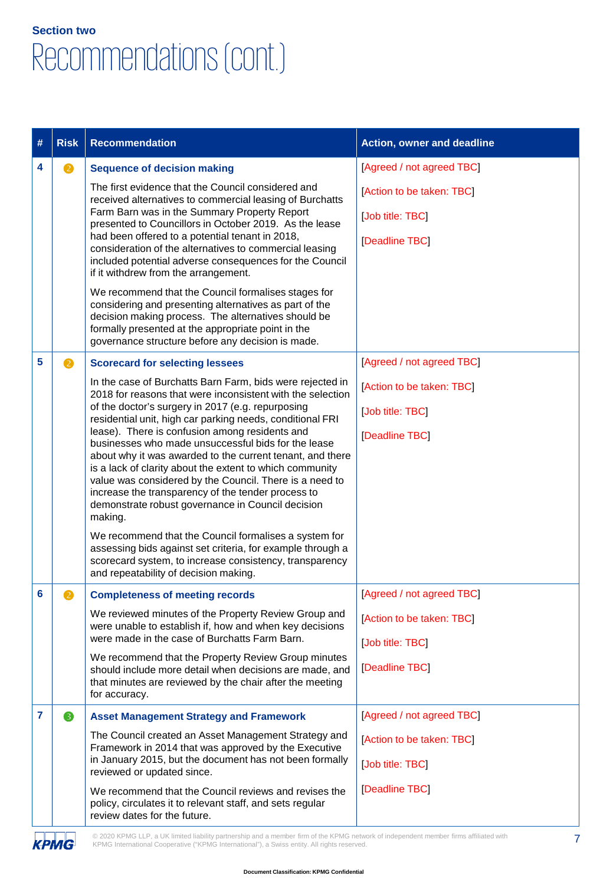## Recommendations (cont.) **Section two**

| #              | <b>Risk</b>                                                                                                                                                                                           | <b>Recommendation</b>                                                                                                                                                                                                                                                                                  | <b>Action, owner and deadline</b> |
|----------------|-------------------------------------------------------------------------------------------------------------------------------------------------------------------------------------------------------|--------------------------------------------------------------------------------------------------------------------------------------------------------------------------------------------------------------------------------------------------------------------------------------------------------|-----------------------------------|
| 4              | $\mathbf{Z}$                                                                                                                                                                                          | <b>Sequence of decision making</b>                                                                                                                                                                                                                                                                     | [Agreed / not agreed TBC]         |
|                |                                                                                                                                                                                                       | The first evidence that the Council considered and<br>received alternatives to commercial leasing of Burchatts                                                                                                                                                                                         | [Action to be taken: TBC]         |
|                |                                                                                                                                                                                                       | Farm Barn was in the Summary Property Report<br>presented to Councillors in October 2019. As the lease                                                                                                                                                                                                 | [Job title: TBC]                  |
|                |                                                                                                                                                                                                       | had been offered to a potential tenant in 2018,<br>consideration of the alternatives to commercial leasing<br>included potential adverse consequences for the Council<br>if it withdrew from the arrangement.                                                                                          | [Deadline TBC]                    |
|                |                                                                                                                                                                                                       | We recommend that the Council formalises stages for<br>considering and presenting alternatives as part of the<br>decision making process. The alternatives should be<br>formally presented at the appropriate point in the<br>governance structure before any decision is made.                        |                                   |
| 5              | 2                                                                                                                                                                                                     | <b>Scorecard for selecting lessees</b>                                                                                                                                                                                                                                                                 | [Agreed / not agreed TBC]         |
|                |                                                                                                                                                                                                       | In the case of Burchatts Barn Farm, bids were rejected in<br>2018 for reasons that were inconsistent with the selection                                                                                                                                                                                | [Action to be taken: TBC]         |
|                | of the doctor's surgery in 2017 (e.g. repurposing<br>residential unit, high car parking needs, conditional FRI                                                                                        |                                                                                                                                                                                                                                                                                                        | [Job title: TBC]                  |
|                |                                                                                                                                                                                                       | lease). There is confusion among residents and<br>businesses who made unsuccessful bids for the lease                                                                                                                                                                                                  | [Deadline TBC]                    |
|                |                                                                                                                                                                                                       | about why it was awarded to the current tenant, and there<br>is a lack of clarity about the extent to which community<br>value was considered by the Council. There is a need to<br>increase the transparency of the tender process to<br>demonstrate robust governance in Council decision<br>making. |                                   |
|                |                                                                                                                                                                                                       | We recommend that the Council formalises a system for<br>assessing bids against set criteria, for example through a<br>scorecard system, to increase consistency, transparency<br>and repeatability of decision making.                                                                                |                                   |
| 6              | 2                                                                                                                                                                                                     | <b>Completeness of meeting records</b>                                                                                                                                                                                                                                                                 | [Agreed / not agreed TBC]         |
|                |                                                                                                                                                                                                       | We reviewed minutes of the Property Review Group and<br>were unable to establish if, how and when key decisions                                                                                                                                                                                        | [Action to be taken: TBC]         |
|                |                                                                                                                                                                                                       | were made in the case of Burchatts Farm Barn.                                                                                                                                                                                                                                                          | [Job title: TBC]                  |
|                |                                                                                                                                                                                                       | We recommend that the Property Review Group minutes<br>should include more detail when decisions are made, and<br>that minutes are reviewed by the chair after the meeting<br>for accuracy.                                                                                                            | [Deadline TBC]                    |
| $\overline{7}$ | 8                                                                                                                                                                                                     | <b>Asset Management Strategy and Framework</b>                                                                                                                                                                                                                                                         | [Agreed / not agreed TBC]         |
|                | The Council created an Asset Management Strategy and<br>Framework in 2014 that was approved by the Executive<br>in January 2015, but the document has not been formally<br>reviewed or updated since. | [Action to be taken: TBC]<br>[Job title: TBC]                                                                                                                                                                                                                                                          |                                   |
|                |                                                                                                                                                                                                       | We recommend that the Council reviews and revises the<br>policy, circulates it to relevant staff, and sets regular<br>review dates for the future.                                                                                                                                                     | [Deadline TBC]                    |

**KPMG** 

© 2020 KPMG LLP, a UK limited liability partnership and a member firm of the KPMG network of independent member firms affiliated with<br>KPMG International Cooperative ("KPMG International"), a Swiss entity. All rights reserv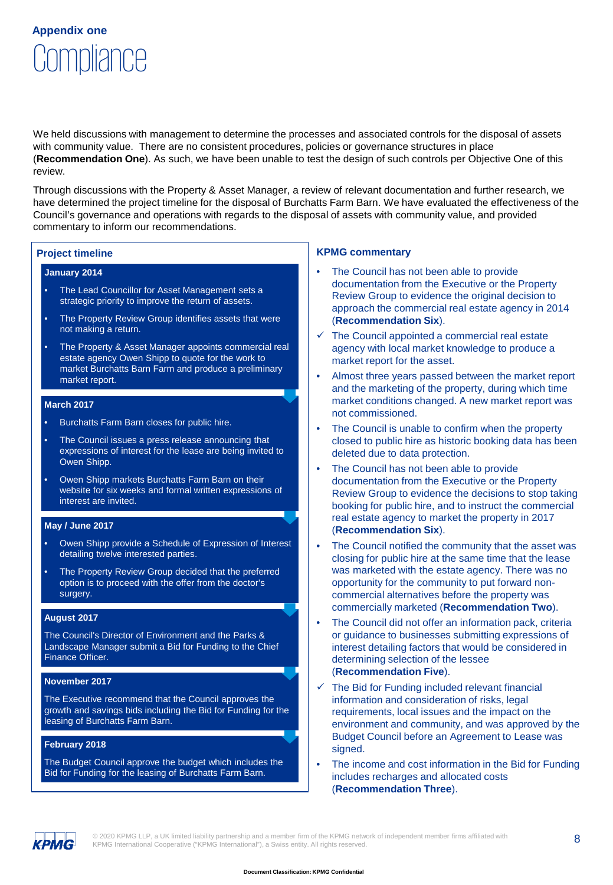## Compliance **Appendix one**

We held discussions with management to determine the processes and associated controls for the disposal of assets with community value. There are no consistent procedures, policies or governance structures in place (**Recommendation One**). As such, we have been unable to test the design of such controls per Objective One of this review.

Through discussions with the Property & Asset Manager, a review of relevant documentation and further research, we have determined the project timeline for the disposal of Burchatts Farm Barn. We have evaluated the effectiveness of the Council's governance and operations with regards to the disposal of assets with community value, and provided commentary to inform our recommendations.

#### **January 2014**

- The Lead Councillor for Asset Management sets a strategic priority to improve the return of assets.
- The Property Review Group identifies assets that were not making a return.
- The Property & Asset Manager appoints commercial real estate agency Owen Shipp to quote for the work to market Burchatts Barn Farm and produce a preliminary market report.

#### **March 2017**

- Burchatts Farm Barn closes for public hire.
- The Council issues a press release announcing that expressions of interest for the lease are being invited to Owen Shipp.
- Owen Shipp markets Burchatts Farm Barn on their website for six weeks and formal written expressions of interest are invited.

#### **May / June 2017**

- Owen Shipp provide a Schedule of Expression of Interest detailing twelve interested parties.
- The Property Review Group decided that the preferred option is to proceed with the offer from the doctor's surgery.

#### **August 2017**

The Council's Director of Environment and the Parks & Landscape Manager submit a Bid for Funding to the Chief Finance Officer.

#### **November 2017**

The Executive recommend that the Council approves the growth and savings bids including the Bid for Funding for the leasing of Burchatts Farm Barn.

#### **February 2018**

The Budget Council approve the budget which includes the Bid for Funding for the leasing of Burchatts Farm Barn.

#### **Project timeline KPMG commentary**

- The Council has not been able to provide documentation from the Executive or the Property Review Group to evidence the original decision to approach the commercial real estate agency in 2014 (**Recommendation Six**).
- The Council appointed a commercial real estate agency with local market knowledge to produce a market report for the asset.
- Almost three years passed between the market report and the marketing of the property, during which time market conditions changed. A new market report was not commissioned.
- The Council is unable to confirm when the property closed to public hire as historic booking data has been deleted due to data protection.
- The Council has not been able to provide documentation from the Executive or the Property Review Group to evidence the decisions to stop taking booking for public hire, and to instruct the commercial real estate agency to market the property in 2017 (**Recommendation Six**).
- The Council notified the community that the asset was closing for public hire at the same time that the lease was marketed with the estate agency. There was no opportunity for the community to put forward noncommercial alternatives before the property was commercially marketed (**Recommendation Two**).
- The Council did not offer an information pack, criteria or guidance to businesses submitting expressions of interest detailing factors that would be considered in determining selection of the lessee (**Recommendation Five**).
- The Bid for Funding included relevant financial information and consideration of risks, legal requirements, local issues and the impact on the environment and community, and was approved by the Budget Council before an Agreement to Lease was signed.
- The income and cost information in the Bid for Funding includes recharges and allocated costs (**Recommendation Three**).



© 2020 KPMG LLP, a UK limited liability partnership and a member firm of the KPMG network of independent member firms affiliated with  $8$ KPMG International Cooperative ("KPMG International"), a Swiss entity. All rights reserved.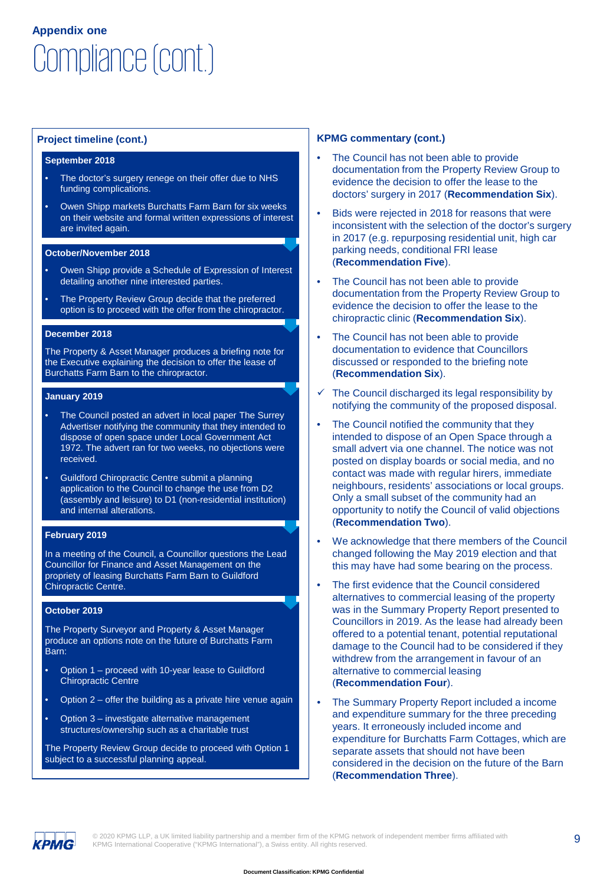# Compliance (cont.) **Appendix one**

#### **September 2018**

- The doctor's surgery renege on their offer due to NHS funding complications.
- Owen Shipp markets Burchatts Farm Barn for six weeks on their website and formal written expressions of interest are invited again.

#### **October/November 2018**

- Owen Shipp provide a Schedule of Expression of Interest detailing another nine interested parties.
- The Property Review Group decide that the preferred option is to proceed with the offer from the chiropractor.

#### **December 2018**

The Property & Asset Manager produces a briefing note for the Executive explaining the decision to offer the lease of Burchatts Farm Barn to the chiropractor.

#### **January 2019**

- The Council posted an advert in local paper The Surrey Advertiser notifying the community that they intended to dispose of open space under Local Government Act 1972. The advert ran for two weeks, no objections were received.
- Guildford Chiropractic Centre submit a planning application to the Council to change the use from D2 (assembly and leisure) to D1 (non-residential institution) and internal alterations.

#### **February 2019**

In a meeting of the Council, a Councillor questions the Lead Councillor for Finance and Asset Management on the propriety of leasing Burchatts Farm Barn to Guildford Chiropractic Centre.

#### **October 2019**

The Property Surveyor and Property & Asset Manager produce an options note on the future of Burchatts Farm Barn:

- Option 1 proceed with 10-year lease to Guildford Chiropractic Centre
- Option 2 offer the building as a private hire venue again
- Option 3 investigate alternative management structures/ownership such as a charitable trust

The Property Review Group decide to proceed with Option 1 subject to a successful planning appeal.

#### **Project timeline (cont.) KPMG commentary (cont.)**

- The Council has not been able to provide documentation from the Property Review Group to evidence the decision to offer the lease to the doctors' surgery in 2017 (**Recommendation Six**).
- Bids were rejected in 2018 for reasons that were inconsistent with the selection of the doctor's surgery in 2017 (e.g. repurposing residential unit, high car parking needs, conditional FRI lease (**Recommendation Five**).
- The Council has not been able to provide documentation from the Property Review Group to evidence the decision to offer the lease to the chiropractic clinic (**Recommendation Six**).
- The Council has not been able to provide documentation to evidence that Councillors discussed or responded to the briefing note (**Recommendation Six**).
- The Council discharged its legal responsibility by notifying the community of the proposed disposal.
- The Council notified the community that they intended to dispose of an Open Space through a small advert via one channel. The notice was not posted on display boards or social media, and no contact was made with regular hirers, immediate neighbours, residents' associations or local groups. Only a small subset of the community had an opportunity to notify the Council of valid objections (**Recommendation Two**).
- We acknowledge that there members of the Council changed following the May 2019 election and that this may have had some bearing on the process.
- The first evidence that the Council considered alternatives to commercial leasing of the property was in the Summary Property Report presented to Councillors in 2019. As the lease had already been offered to a potential tenant, potential reputational damage to the Council had to be considered if they withdrew from the arrangement in favour of an alternative to commercial leasing (**Recommendation Four**).
- The Summary Property Report included a income and expenditure summary for the three preceding years. It erroneously included income and expenditure for Burchatts Farm Cottages, which are separate assets that should not have been considered in the decision on the future of the Barn (**Recommendation Three**).



© 2020 KPMG LLP, a UK limited liability partnership and a member firm of the KPMG network of independent member firms affiliated with  $\overline{9}$ KPMG International Cooperative ("KPMG International"), a Swiss entity. All rights reserved.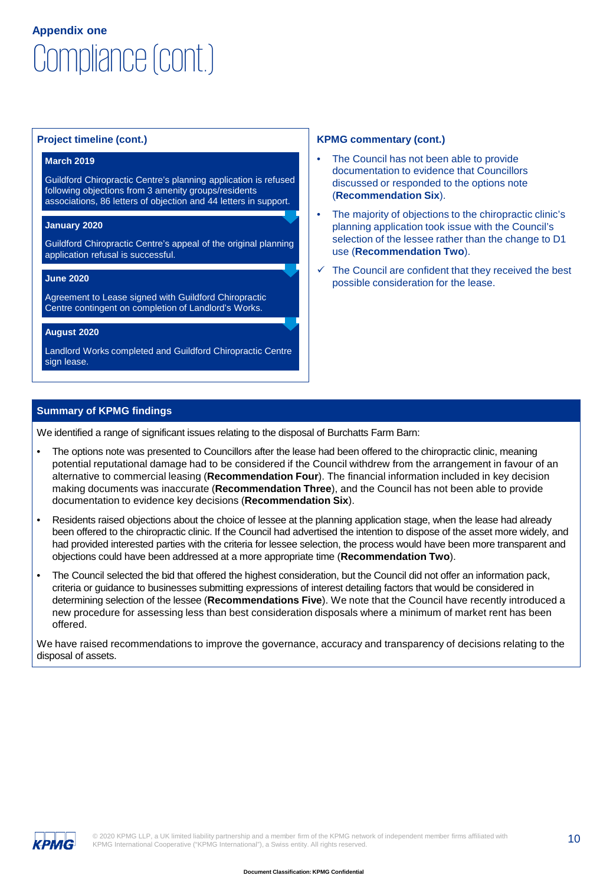# Compliance (cont.) **Appendix one**

#### **March 2019**

Guildford Chiropractic Centre's planning application is refused following objections from 3 amenity groups/residents associations, 86 letters of objection and 44 letters in support.

#### **January 2020**

Guildford Chiropractic Centre's appeal of the original planning application refusal is successful.

#### **June 2020**

Agreement to Lease signed with Guildford Chiropractic Centre contingent on completion of Landlord's Works.

### **August 2020**

Landlord Works completed and Guildford Chiropractic Centre sign lease.

#### **Project timeline (cont.) KPMG commentary (cont.)**

- The Council has not been able to provide documentation to evidence that Councillors discussed or responded to the options note (**Recommendation Six**).
- The majority of objections to the chiropractic clinic's planning application took issue with the Council's selection of the lessee rather than the change to D1 use (**Recommendation Two**).
- The Council are confident that they received the best possible consideration for the lease.

## **Summary of KPMG findings**

We identified a range of significant issues relating to the disposal of Burchatts Farm Barn:

- The options note was presented to Councillors after the lease had been offered to the chiropractic clinic, meaning potential reputational damage had to be considered if the Council withdrew from the arrangement in favour of an alternative to commercial leasing (**Recommendation Four**). The financial information included in key decision making documents was inaccurate (**Recommendation Three**), and the Council has not been able to provide documentation to evidence key decisions (**Recommendation Six**).
- Residents raised objections about the choice of lessee at the planning application stage, when the lease had already been offered to the chiropractic clinic. If the Council had advertised the intention to dispose of the asset more widely, and had provided interested parties with the criteria for lessee selection, the process would have been more transparent and objections could have been addressed at a more appropriate time (**Recommendation Two**).
- The Council selected the bid that offered the highest consideration, but the Council did not offer an information pack, criteria or guidance to businesses submitting expressions of interest detailing factors that would be considered in determining selection of the lessee (**Recommendations Five**). We note that the Council have recently introduced a new procedure for assessing less than best consideration disposals where a minimum of market rent has been offered.

We have raised recommendations to improve the governance, accuracy and transparency of decisions relating to the disposal of assets.

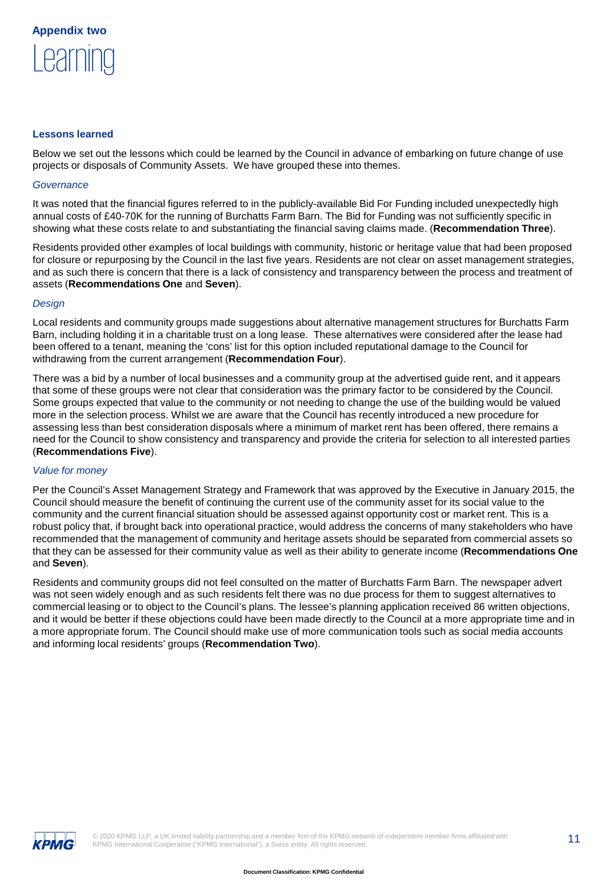

#### **Lessons learned**

Below we set out the lessons which could be learned by the Council in advance of embarking on future change of use projects or disposals of Community Assets. We have grouped these into themes.

#### *Governance*

It was noted that the financial figures referred to in the publicly-available Bid For Funding included unexpectedly high annual costs of £40-70K for the running of Burchatts Farm Barn. The Bid for Funding was not sufficiently specific in showing what these costs relate to and substantiating the financial saving claims made. (**Recommendation Three**).

Residents provided other examples of local buildings with community, historic or heritage value that had been proposed for closure or repurposing by the Council in the last five years. Residents are not clear on asset management strategies, and as such there is concern that there is a lack of consistency and transparency between the process and treatment of assets (**Recommendations One** and **Seven**).

#### *Design*

Local residents and community groups made suggestions about alternative management structures for Burchatts Farm Barn, including holding it in a charitable trust on a long lease. These alternatives were considered after the lease had been offered to a tenant, meaning the 'cons' list for this option included reputational damage to the Council for withdrawing from the current arrangement (**Recommendation Four**).

There was a bid by a number of local businesses and a community group at the advertised guide rent, and it appears that some of these groups were not clear that consideration was the primary factor to be considered by the Council. Some groups expected that value to the community or not needing to change the use of the building would be valued more in the selection process. Whilst we are aware that the Council has recently introduced a new procedure for assessing less than best consideration disposals where a minimum of market rent has been offered, there remains a need for the Council to show consistency and transparency and provide the criteria for selection to all interested parties (**Recommendations Five**).

#### *Value for money*

Per the Council's Asset Management Strategy and Framework that was approved by the Executive in January 2015, the Council should measure the benefit of continuing the current use of the community asset for its social value to the community and the current financial situation should be assessed against opportunity cost or market rent. This is a robust policy that, if brought back into operational practice, would address the concerns of many stakeholders who have recommended that the management of community and heritage assets should be separated from commercial assets so that they can be assessed for their community value as well as their ability to generate income (**Recommendations One**  and **Seven**).

Residents and community groups did not feel consulted on the matter of Burchatts Farm Barn. The newspaper advert was not seen widely enough and as such residents felt there was no due process for them to suggest alternatives to commercial leasing or to object to the Council's plans. The lessee's planning application received 86 written objections, and it would be better if these objections could have been made directly to the Council at a more appropriate time and in a more appropriate forum. The Council should make use of more communication tools such as social media accounts and informing local residents' groups (**Recommendation Two**).

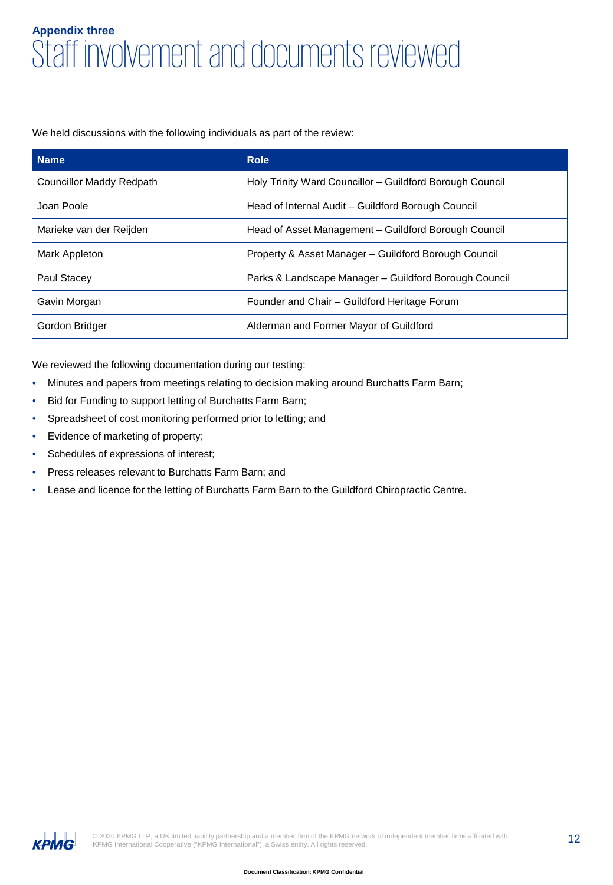## Staff involvement and documents reviewed **Appendix three**

We held discussions with the following individuals as part of the review:

| <b>Name</b>              | <b>Role</b>                                              |
|--------------------------|----------------------------------------------------------|
| Councillor Maddy Redpath | Holy Trinity Ward Councillor - Guildford Borough Council |
| Joan Poole               | Head of Internal Audit – Guildford Borough Council       |
| Marieke van der Reijden  | Head of Asset Management - Guildford Borough Council     |
| Mark Appleton            | Property & Asset Manager – Guildford Borough Council     |
| Paul Stacey              | Parks & Landscape Manager – Guildford Borough Council    |
| Gavin Morgan             | Founder and Chair - Guildford Heritage Forum             |
| Gordon Bridger           | Alderman and Former Mayor of Guildford                   |

We reviewed the following documentation during our testing:

- Minutes and papers from meetings relating to decision making around Burchatts Farm Barn;
- Bid for Funding to support letting of Burchatts Farm Barn;
- Spreadsheet of cost monitoring performed prior to letting; and
- Evidence of marketing of property;
- Schedules of expressions of interest;
- Press releases relevant to Burchatts Farm Barn; and
- Lease and licence for the letting of Burchatts Farm Barn to the Guildford Chiropractic Centre.